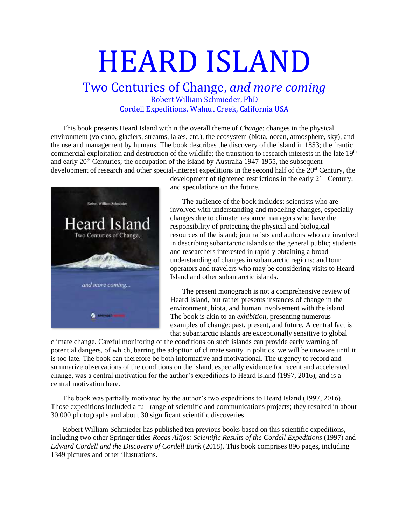# HEARD ISLAND

### Two Centuries of Change, *and more coming* Robert William Schmieder, PhD Cordell Expeditions, Walnut Creek, California USA

This book presents Heard Island within the overall theme of *Change*: changes in the physical environment (volcano, glaciers, streams, lakes, etc.), the ecosystem (biota, ocean, atmosphere, sky), and the use and management by humans. The book describes the discovery of the island in 1853; the frantic commercial exploitation and destruction of the wildlife; the transition to research interests in the late 19<sup>th</sup> and early  $20<sup>th</sup>$  Centuries; the occupation of the island by Australia 1947-1955, the subsequent development of research and other special-interest expeditions in the second half of the 20<sup>st</sup> Century, the



development of tightened restrictions in the early 21<sup>st</sup> Century, and speculations on the future.

The audience of the book includes: scientists who are involved with understanding and modeling changes, especially changes due to climate; resource managers who have the responsibility of protecting the physical and biological resources of the island; journalists and authors who are involved in describing subantarctic islands to the general public; students and researchers interested in rapidly obtaining a broad understanding of changes in subantarctic regions; and tour operators and travelers who may be considering visits to Heard Island and other subantarctic islands.

The present monograph is not a comprehensive review of Heard Island, but rather presents instances of change in the environment, biota, and human involvement with the island. The book is akin to an *exhibition*, presenting numerous examples of change: past, present, and future. A central fact is that subantarctic islands are exceptionally sensitive to global

climate change. Careful monitoring of the conditions on such islands can provide early warning of potential dangers, of which, barring the adoption of climate sanity in politics, we will be unaware until it is too late. The book can therefore be both informative and motivational. The urgency to record and summarize observations of the conditions on the island, especially evidence for recent and accelerated change, was a central motivation for the author's expeditions to Heard Island (1997, 2016), and is a central motivation here.

The book was partially motivated by the author's two expeditions to Heard Island (1997, 2016). Those expeditions included a full range of scientific and communications projects; they resulted in about 30,000 photographs and about 30 significant scientific discoveries.

Robert William Schmieder has published ten previous books based on this scientific expeditions, including two other Springer titles *Rocas Alijos: Scientific Results of the Cordell Expeditions* (1997) and *Edward Cordell and the Discovery of Cordell Bank* (2018). This book comprises 896 pages, including 1349 pictures and other illustrations.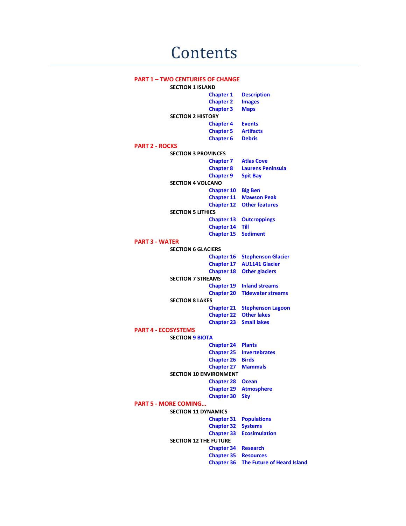#### **PART 1 – TWO CENTURIES OF CHANGE**

**SECTION 1 ISLAND Chapter 1 Description Chapter 2 Images Chapter 3 Maps SECTION 2 HISTORY Chapter 4 Events Chapter 5 Chapter 6 Debris PART 2 - ROCKS SECTION 3 PROVINCES Chapter 7 Atlas Cove Chapter 8 Laurens Peninsula Chapter 9 Spit Bay SECTION 4 VOLCANO Chapter 10 Big Ben Chapter 11 Mawson Peak Chapter 12 Other features SECTION 5 LITHICS Chapter 13 Outcroppings Chapter 14 Till Chapter 15 Sediment PART 3 - WATER SECTION 6 GLACIERS Chapter 16 Stephenson Glacier Chapter 17 AU1141 Glacier Chapter 18 Other glaciers SECTION 7 STREAMS Chapter 19 Inland streams Chapter 20 Tidewater streams SECTION 8 LAKES Chapter 21 Stephenson Lagoon Chapter 22 Other lakes Chapter 23 Small lakes PART 4 - ECOSYSTEMS SECTION 9 BIOTA Chapter 24 Plants Chapter 25 Invertebrates Chapter 26 Birds Chapter 27 Mammals SECTION 10 ENVIRONMENT Chapter 28 Ocean Chapter 29 Atmosphere Chapter 30 Sky PART 5 - MORE COMING… SECTION 11 DYNAMICS Chapter 31 Populations Chapter 32 Systems Chapter 33 Ecosimulation SECTION 12 THE FUTURE Chapter 34 Research Chapter 35 Resources Chapter 36 The Future of Heard Island**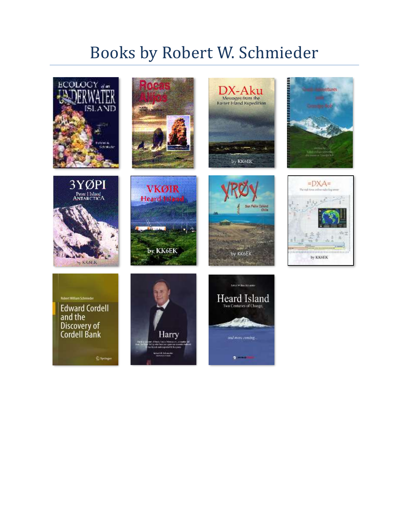## Books by Robert W. Schmieder

















Robert William Schmieder **Edward Cordell** and the **Discovery of**<br>Cordell Bank

 $\mathfrak{D}$  Springer